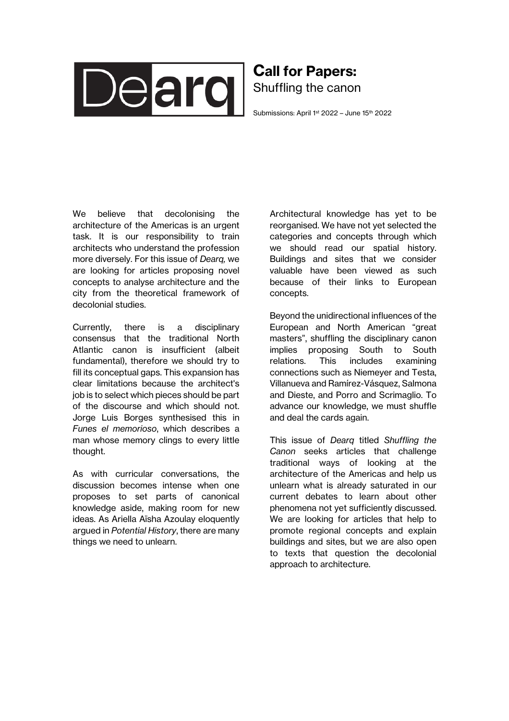

## Call for Papers: Shuffling the canon

Submissions: April 1<sup>st</sup> 2022 - June 15<sup>th</sup> 2022

We believe that decolonising the architecture of the Americas is an urgent task. It is our responsibility to train architects who understand the profession more diversely. For this issue of *Dearq,* we are looking for articles proposing novel concepts to analyse architecture and the city from the theoretical framework of decolonial studies.

Currently, there is a disciplinary consensus that the traditional North Atlantic canon is insufficient (albeit fundamental), therefore we should try to fill its conceptual gaps. This expansion has clear limitations because the architect's job is to select which pieces should be part of the discourse and which should not. Jorge Luis Borges synthesised this in *Funes el memorioso*, which describes a man whose memory clings to every little thought.

As with curricular conversations, the discussion becomes intense when one proposes to set parts of canonical knowledge aside, making room for new ideas. As Ariella Aïsha Azoulay eloquently argued in *Potential History*, there are many things we need to unlearn.

Architectural knowledge has yet to be reorganised. We have not yet selected the categories and concepts through which we should read our spatial history. Buildings and sites that we consider valuable have been viewed as such because of their links to European concepts.

Beyond the unidirectional influences of the European and North American "great masters", shuffling the disciplinary canon implies proposing South to South relations. This includes examining connections such as Niemeyer and Testa, Villanueva and Ramírez-Vásquez, Salmona and Dieste, and Porro and Scrimaglio. To advance our knowledge, we must shuffle and deal the cards again.

This issue of *Dearq* titled *Shuffling the Canon* seeks articles that challenge traditional ways of looking at the architecture of the Americas and help us unlearn what is already saturated in our current debates to learn about other phenomena not yet sufficiently discussed. We are looking for articles that help to promote regional concepts and explain buildings and sites, but we are also open to texts that question the decolonial approach to architecture.